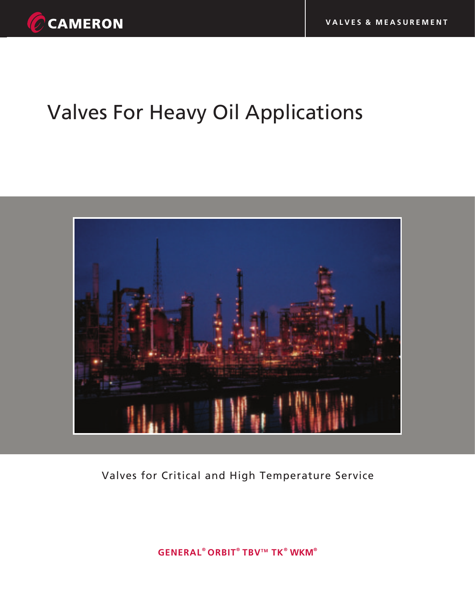

# Valves For Heavy Oil Applications



# Valves for Critical and High Temperature Service

**G ® TM ENERAL ORBIT TBV TK ® ® WKM®**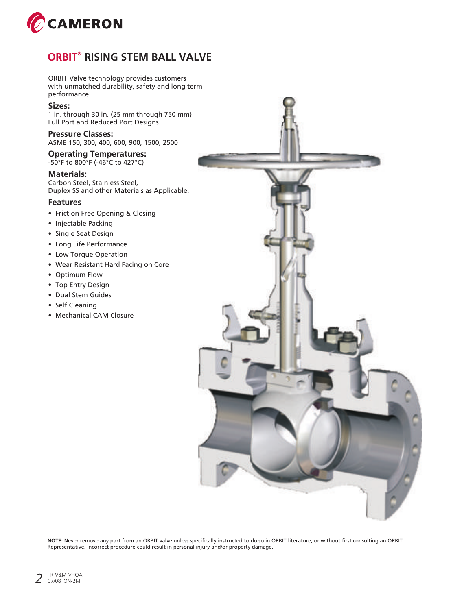

# **ORBIT<sup>®</sup> RISING STEM BALL VALVE**

ORBIT Valve technology provides customers with unmatched durability, safety and long term performance.

### **Sizes:**

1 in. through 30 in. (25 mm through 750 mm) Full Port and Reduced Port Designs.

**Pressure Classes:**  ASME 150, 300, 400, 600, 900, 1500, 2500

**Operating Temperatures:**  -50°F to 800°F (-46°C to 427°C)

#### **Materials:**

Carbon Steel, Stainless Steel, Duplex SS and other Materials as Applicable.

### **Features**

- Friction Free Opening & Closing
- Injectable Packing
- Single Seat Design
- Long Life Performance
- Low Torque Operation
- Wear Resistant Hard Facing on Core
- Optimum Flow
- Top Entry Design
- Dual Stem Guides
- Self Cleaning
- Mechanical CAM Closure



**NOTE:** Never remove any part from an ORBIT valve unless specifically instructed to do so in ORBIT literature, or without first consulting an ORBIT Representative. Incorrect procedure could result in personal injury and/or property damage.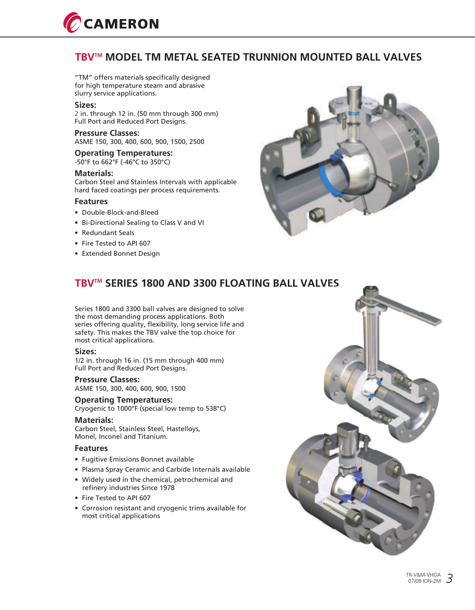

### **TBV™ MODEL TM METAL SEATED TRUNNION MOUNTED BALL VALVES**

"TM" offers materials specifically designed for high temperature steam and abrasive slurry service applications.

#### **Sizes:**

2 in. through 12 in. (50 mm through 300 mm) Full Port and Reduced Port Designs.

### **Pressure Classes:**

ASME 150, 300, 400, 600, 900, 1500, 2500

### **Operating Temperatures:**

-50°F to 662°F (-46°C to 350°C)

### **Materials:**

Carbon Steel and Stainless Intervals with applicable hard faced coatings per process requirements.

### **Features**

- Double-Block-and-Bleed
- Bi-Directional Sealing to Class V and VI
- Redundant Seals
- Fire Tested to API 607
- Extended Bonnet Design



## **TBV™ SERIES 1800 AND 3300 FLOATING BALL VALVES**

Series 1800 and 3300 ball valves are designed to solve the most demanding process applications. Both series offering quality, flexibility, long service life and safety. This makes the TBV valve the top choice for most critical applications.

#### **Sizes:**

1/2 in. through 16 in. (15 mm through 400 mm) Full Port and Reduced Port Designs.

### **Pressure Classes:**

ASME 150, 300, 400, 600, 900, 1500

### **Operating Temperatures:**

Cryogenic to 1000°F (special low temp to 538°C)

### **Materials:**

Carbon Steel, Stainless Steel, Hastelloys, Monel, Inconel and Titanium.

#### **Features**

- Fugitive Emissions Bonnet available
- Plasma Spray Ceramic and Carbide Internals available
- Widely used in the chemical, petrochemical and refinery industries Since 1978
- Fire Tested to API 607
- Corrosion resistant and cryogenic trims available for most critical applications

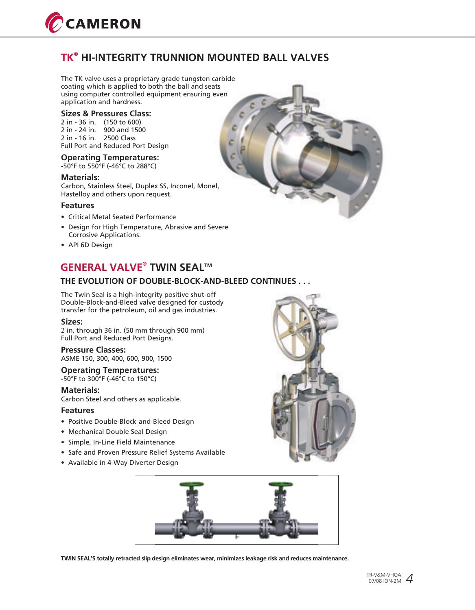

## **® TK HI-INTEGRITY TRUNNION MOUNTED BALL VALVES**

The TK valve uses a proprietary grade tungsten carbide coating which is applied to both the ball and seats using computer controlled equipment ensuring even application and hardness.

### **Sizes & Pressures Class:**

2 in - 36 in. (150 to 600) 2 in - 24 in. 900 and 1500 2 in - 16 in. 2500 Class Full Port and Reduced Port Design

### **Operating Temperatures:**

-50°F to 550°F (-46°C to 288°C)

#### **Materials:**

Carbon, Stainless Steel, Duplex SS, Inconel, Monel, Hastelloy and others upon request.

### **Features**

- Critical Metal Seated Performance
- Design for High Temperature, Abrasive and Severe Corrosive Applications.
- API 6D Design

# **GENERAL VALVE<sup>®</sup> TWIN SEAL™**

### **THE EVOLUTION OF DOUBLE-BLOCK-AND-BLEED CONTINUES . . .**

The Twin Seal is a high-integrity positive shut-off Double-Block-and-Bleed valve designed for custody transfer for the petroleum, oil and gas industries.

#### **Sizes:**

2 in. through 36 in. (50 mm through 900 mm) Full Port and Reduced Port Designs.

### **Pressure Classes:**

ASME 150, 300, 400, 600, 900, 1500

#### **Operating Temperatures: -**50°F to 300°F (-46°C to 150°C)

**Materials:** 

Carbon Steel and others as applicable.

### **Features**

- Positive Double-Block-and-Bleed Design
- Mechanical Double Seal Design
- Simple, In-Line Field Maintenance
- Safe and Proven Pressure Relief Systems Available
- Available in 4-Way Diverter Design





**TWIN SEAL'S totally retracted slip design eliminates wear, minimizes leakage risk and reduces maintenance.**

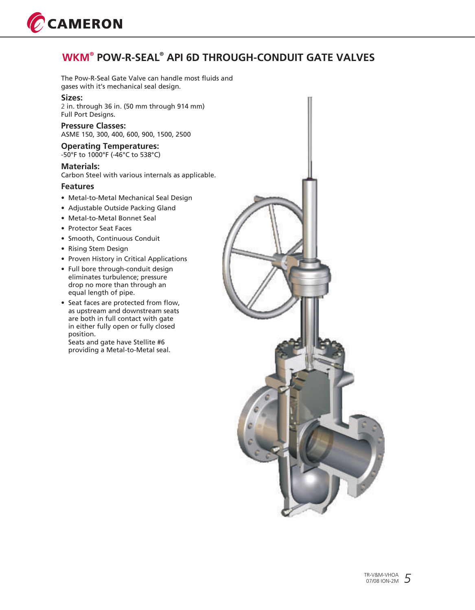

## **® WKM ® POW-R-SEAL API 6D THROUGH-CONDUIT GATE VALVES**

The Pow-R-Seal Gate Valve can handle most fluids and gases with it's mechanical seal design.

### **Sizes:**

2 in. through 36 in. (50 mm through 914 mm) Full Port Designs.

### **Pressure Classes:**  ASME 150, 300, 400, 600, 900, 1500, 2500

**Operating Temperatures:**  -50°F to 1000°F (-46°C to 538°C)

### **Materials:**

Carbon Steel with various internals as applicable.

### **Features**

- Metal-to-Metal Mechanical Seal Design
- Adjustable Outside Packing Gland
- Metal-to-Metal Bonnet Seal
- Protector Seat Faces
- Smooth, Continuous Conduit
- Rising Stem Design
- Proven History in Critical Applications
- Full bore through-conduit design eliminates turbulence; pressure drop no more than through an equal length of pipe.
- Seat faces are protected from flow, as upstream and downstream seats are both in full contact with gate in either fully open or fully closed position.

Seats and gate have Stellite #6 providing a Metal-to-Metal seal.